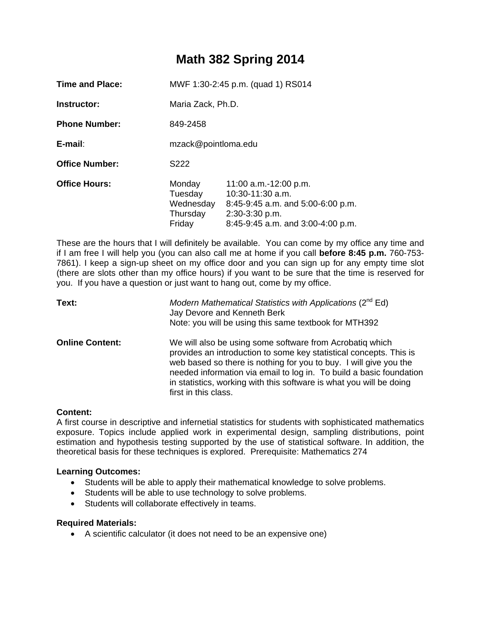# **Math 382 Spring 2014**

| <b>Time and Place:</b> | MWF 1:30-2:45 p.m. (quad 1) RS014                    |                                                                                                                                               |  |
|------------------------|------------------------------------------------------|-----------------------------------------------------------------------------------------------------------------------------------------------|--|
| Instructor:            | Maria Zack, Ph.D.                                    |                                                                                                                                               |  |
| <b>Phone Number:</b>   | 849-2458                                             |                                                                                                                                               |  |
| E-mail:                | mzack@pointloma.edu                                  |                                                                                                                                               |  |
| <b>Office Number:</b>  | S <sub>222</sub>                                     |                                                                                                                                               |  |
| <b>Office Hours:</b>   | Monday<br>Tuesday<br>Wednesday<br>Thursday<br>Friday | 11:00 a.m.-12:00 p.m.<br>10:30-11:30 a.m.<br>$8:45-9:45$ a.m. and $5:00-6:00$ p.m.<br>2:30-3:30 p.m.<br>$8:45-9:45$ a.m. and $3:00-4:00$ p.m. |  |

These are the hours that I will definitely be available. You can come by my office any time and if I am free I will help you (you can also call me at home if you call **before 8:45 p.m.** 760-753- 7861). I keep a sign-up sheet on my office door and you can sign up for any empty time slot (there are slots other than my office hours) if you want to be sure that the time is reserved for you. If you have a question or just want to hang out, come by my office.

| Text:                  | Modern Mathematical Statistics with Applications ( $2^{nd}$ Ed)<br>Jay Devore and Kenneth Berk<br>Note: you will be using this same textbook for MTH392                                                                                                                                                                                                                   |
|------------------------|---------------------------------------------------------------------------------------------------------------------------------------------------------------------------------------------------------------------------------------------------------------------------------------------------------------------------------------------------------------------------|
| <b>Online Content:</b> | We will also be using some software from Acrobatiq which<br>provides an introduction to some key statistical concepts. This is<br>web based so there is nothing for you to buy. I will give you the<br>needed information via email to log in. To build a basic foundation<br>in statistics, working with this software is what you will be doing<br>first in this class. |

#### **Content:**

A first course in descriptive and infernetial statistics for students with sophisticated mathematics exposure. Topics include applied work in experimental design, sampling distributions, point estimation and hypothesis testing supported by the use of statistical software. In addition, the theoretical basis for these techniques is explored. Prerequisite: Mathematics 274

# **Learning Outcomes:**

- Students will be able to apply their mathematical knowledge to solve problems.
- Students will be able to use technology to solve problems.
- Students will collaborate effectively in teams.

#### **Required Materials:**

A scientific calculator (it does not need to be an expensive one)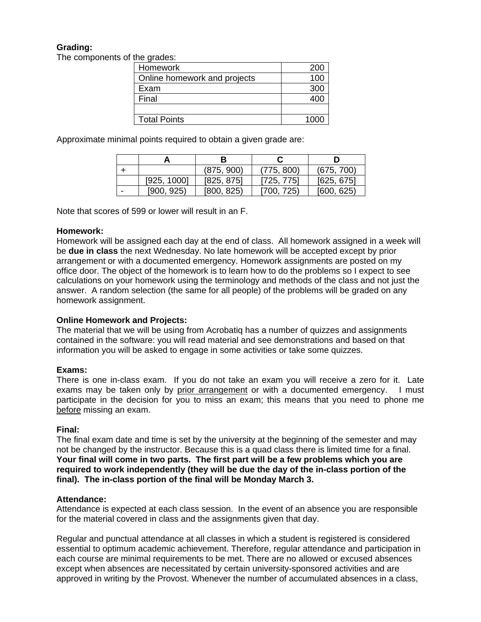# **Grading:**

The components of the grades:

| 10, 91, 000                  |      |
|------------------------------|------|
| Homework                     | 200  |
| Online homework and projects | 100  |
| Exam                         | 300  |
| Final                        | 400  |
|                              |      |
| <b>Total Points</b>          | 1000 |

Approximate minimal points required to obtain a given grade are:

|   |             | (875, 900) | (775, 800) | (675, 700) |  |
|---|-------------|------------|------------|------------|--|
|   | [925, 1000] | [825, 875] | [725, 775] | [625, 675] |  |
| - | [900, 925]  | [800, 825] | [700, 725) | [600, 625] |  |

Note that scores of 599 or lower will result in an F.

## **Homework:**

Homework will be assigned each day at the end of class. All homework assigned in a week will be **due in class** the next Wednesday. No late homework will be accepted except by prior arrangement or with a documented emergency. Homework assignments are posted on my office door. The object of the homework is to learn how to do the problems so I expect to see calculations on your homework using the terminology and methods of the class and not just the answer. A random selection (the same for all people) of the problems will be graded on any homework assignment.

# **Online Homework and Projects:**

The material that we will be using from Acrobatiq has a number of quizzes and assignments contained in the software: you will read material and see demonstrations and based on that information you will be asked to engage in some activities or take some quizzes.

# **Exams:**

There is one in-class exam. If you do not take an exam you will receive a zero for it. Late exams may be taken only by prior arrangement or with a documented emergency. I must participate in the decision for you to miss an exam; this means that you need to phone me before missing an exam.

#### **Final:**

The final exam date and time is set by the university at the beginning of the semester and may not be changed by the instructor. Because this is a quad class there is limited time for a final. **Your final will come in two parts. The first part will be a few problems which you are required to work independently (they will be due the day of the in-class portion of the final). The in-class portion of the final will be Monday March 3.** 

#### **Attendance:**

Attendance is expected at each class session. In the event of an absence you are responsible for the material covered in class and the assignments given that day.

Regular and punctual attendance at all classes in which a student is registered is considered essential to optimum academic achievement. Therefore, regular attendance and participation in each course are minimal requirements to be met. There are no allowed or excused absences except when absences are necessitated by certain university-sponsored activities and are approved in writing by the Provost. Whenever the number of accumulated absences in a class,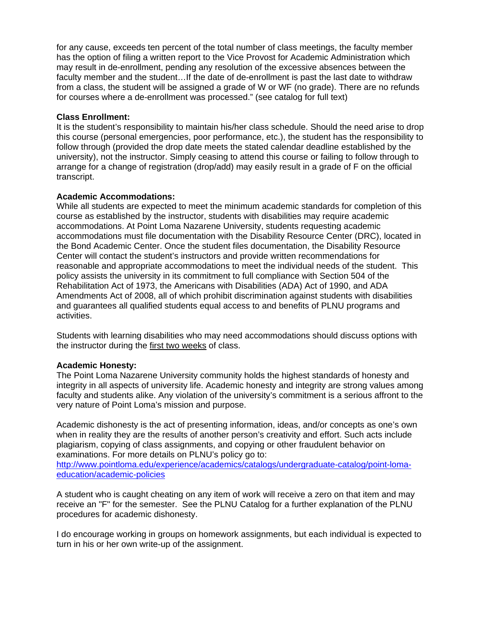for any cause, exceeds ten percent of the total number of class meetings, the faculty member has the option of filing a written report to the Vice Provost for Academic Administration which may result in de-enrollment, pending any resolution of the excessive absences between the faculty member and the student…If the date of de-enrollment is past the last date to withdraw from a class, the student will be assigned a grade of W or WF (no grade). There are no refunds for courses where a de-enrollment was processed." (see catalog for full text)

## **Class Enrollment:**

It is the student's responsibility to maintain his/her class schedule. Should the need arise to drop this course (personal emergencies, poor performance, etc.), the student has the responsibility to follow through (provided the drop date meets the stated calendar deadline established by the university), not the instructor. Simply ceasing to attend this course or failing to follow through to arrange for a change of registration (drop/add) may easily result in a grade of F on the official transcript.

## **Academic Accommodations:**

While all students are expected to meet the minimum academic standards for completion of this course as established by the instructor, students with disabilities may require academic accommodations. At Point Loma Nazarene University, students requesting academic accommodations must file documentation with the Disability Resource Center (DRC), located in the Bond Academic Center. Once the student files documentation, the Disability Resource Center will contact the student's instructors and provide written recommendations for reasonable and appropriate accommodations to meet the individual needs of the student. This policy assists the university in its commitment to full compliance with Section 504 of the Rehabilitation Act of 1973, the Americans with Disabilities (ADA) Act of 1990, and ADA Amendments Act of 2008, all of which prohibit discrimination against students with disabilities and guarantees all qualified students equal access to and benefits of PLNU programs and activities.

Students with learning disabilities who may need accommodations should discuss options with the instructor during the first two weeks of class.

# **Academic Honesty:**

The Point Loma Nazarene University community holds the highest standards of honesty and integrity in all aspects of university life. Academic honesty and integrity are strong values among faculty and students alike. Any violation of the university's commitment is a serious affront to the very nature of Point Loma's mission and purpose.

Academic dishonesty is the act of presenting information, ideas, and/or concepts as one's own when in reality they are the results of another person's creativity and effort. Such acts include plagiarism, copying of class assignments, and copying or other fraudulent behavior on examinations. For more details on PLNU's policy go to:

http://www.pointloma.edu/experience/academics/catalogs/undergraduate-catalog/point-lomaeducation/academic-policies

A student who is caught cheating on any item of work will receive a zero on that item and may receive an "F" for the semester. See the PLNU Catalog for a further explanation of the PLNU procedures for academic dishonesty.

I do encourage working in groups on homework assignments, but each individual is expected to turn in his or her own write-up of the assignment.